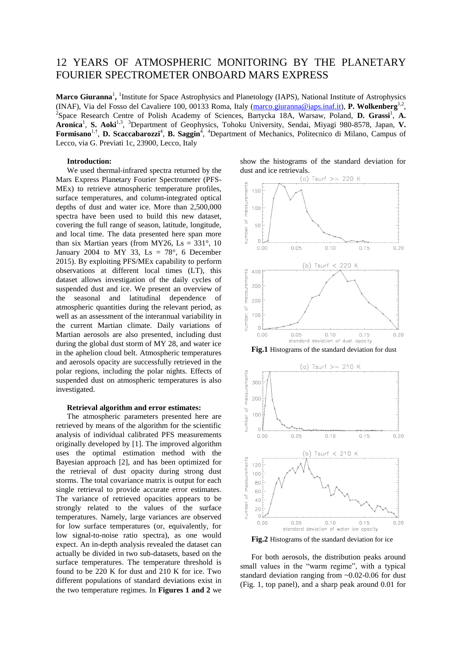# 12 YEARS OF ATMOSPHERIC MONITORING BY THE PLANETARY FOURIER SPECTROMETER ONBOARD MARS EXPRESS

Marco Giuranna<sup>1</sup>, <sup>1</sup>Institute for Space Astrophysics and Planetology (IAPS), National Institute of Astrophysics (INAF), Via del Fosso del Cavaliere 100, 00133 Roma, Italy [\(marco.giuranna@iaps.inaf.it\)](mailto:marco.giuranna@iaps.inaf.it), **P. Wolkenberg**<sup>1,2</sup>, <sup>2</sup>Space Research Centre of Polish Academy of Sciences, Bartycka 18A, Warsaw, Poland, D. Grassi<sup>1</sup>, A. Aronica<sup>1</sup>, S. Aoki<sup>1,3</sup>, <sup>3</sup>Department of Geophysics, Tohoku University, Sendai, Miyagi 980-8578, Japan, V. **Formisano**<sup>1,†</sup>, **D. Scaccabarozzi**<sup>4</sup>, **B. Saggin**<sup>4</sup>, <sup>4</sup>Department of Mechanics, Politecnico di Milano, Campus of Lecco, via G. Previati 1c, 23900, Lecco, Italy

## **Introduction:**

We used thermal-infrared spectra returned by the Mars Express Planetary Fourier Spectrometer (PFS-MEx) to retrieve atmospheric temperature profiles, surface temperatures, and column-integrated optical depths of dust and water ice. More than 2,500,000 spectra have been used to build this new dataset, covering the full range of season, latitude, longitude, and local time. The data presented here span more than six Martian years (from MY26,  $\text{Ls} = 331^\circ$ , 10 January 2004 to MY 33, Ls =  $78^\circ$ , 6 December 2015). By exploiting PFS/MEx capability to perform observations at different local times (LT), this dataset allows investigation of the daily cycles of suspended dust and ice. We present an overview of the seasonal and latitudinal dependence of atmospheric quantities during the relevant period, as well as an assessment of the interannual variability in the current Martian climate. Daily variations of Martian aerosols are also presented, including dust during the global dust storm of MY 28, and water ice in the aphelion cloud belt. Atmospheric temperatures and aerosols opacity are successfully retrieved in the polar regions, including the polar nights. Effects of suspended dust on atmospheric temperatures is also investigated.

#### **Retrieval algorithm and error estimates:**

The atmospheric parameters presented here are retrieved by means of the algorithm for the scientific analysis of individual calibrated PFS measurements originally developed by [1]. The improved algorithm uses the optimal estimation method with the Bayesian approach [2], and has been optimized for the retrieval of dust opacity during strong dust storms. The total covariance matrix is output for each single retrieval to provide accurate error estimates. The variance of retrieved opacities appears to be strongly related to the values of the surface temperatures. Namely, large variances are observed for low surface temperatures (or, equivalently, for low signal-to-noise ratio spectra), as one would expect. An in-depth analysis revealed the dataset can actually be divided in two sub-datasets, based on the surface temperatures. The temperature threshold is found to be 220 K for dust and 210 K for ice. Two different populations of standard deviations exist in the two temperature regimes. In **Figures 1 and 2** we

show the histograms of the standard deviation for



**Fig.2** Histograms of the standard deviation for ice

For both aerosols, the distribution peaks around small values in the "warm regime", with a typical standard deviation ranging from ~0.02-0.06 for dust (Fig. 1, top panel), and a sharp peak around 0.01 for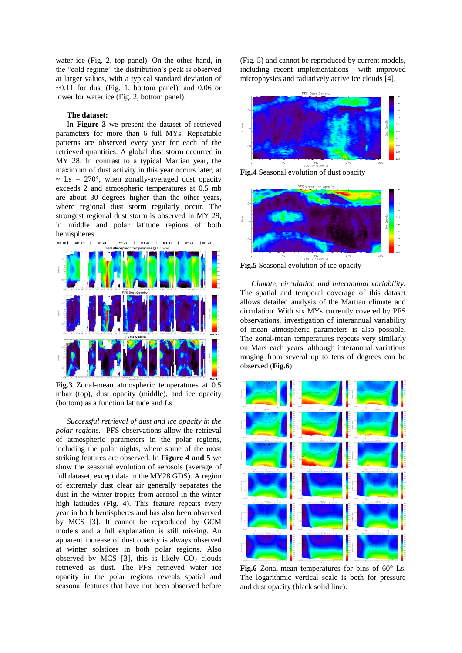water ice (Fig. 2, top panel). On the other hand, in the "cold regime" the distribution's peak is observed at larger values, with a typical standard deviation of  $\sim$ 0.11 for dust (Fig. 1, bottom panel), and 0.06 or lower for water ice (Fig. 2, bottom panel).

# **The dataset:**

In **Figure 3** we present the dataset of retrieved parameters for more than 6 full MYs. Repeatable patterns are observed every year for each of the retrieved quantities. A global dust storm occurred in MY 28. In contrast to a typical Martian year, the maximum of dust activity in this year occurs later, at  $\sim$  Ls = 270 $\degree$ , when zonally-averaged dust opacity exceeds 2 and atmospheric temperatures at 0.5 mb are about 30 degrees higher than the other years, where regional dust storm regularly occur. The strongest regional dust storm is observed in MY 29, in middle and polar latitude regions of both hemispheres.



**Fig.3** Zonal-mean atmospheric temperatures at 0.5 mbar (top), dust opacity (middle), and ice opacity (bottom) as a function latitude and Ls

*Successful retrieval of dust and ice opacity in the polar regions.* PFS observations allow the retrieval of atmospheric parameters in the polar regions, including the polar nights, where some of the most striking features are observed. In **Figure 4 and 5** we show the seasonal evolution of aerosols (average of full dataset, except data in the MY28 GDS). A region of extremely dust clear air generally separates the dust in the winter tropics from aerosol in the winter high latitudes (Fig. 4). This feature repeats every year in both hemispheres and has also been observed by MCS [3]. It cannot be reproduced by GCM models and a full explanation is still missing. An apparent increase of dust opacity is always observed at winter solstices in both polar regions. Also observed by MCS [3], this is likely  $CO<sub>2</sub>$  clouds retrieved as dust. The PFS retrieved water ice opacity in the polar regions reveals spatial and seasonal features that have not been observed before

(Fig. 5) and cannot be reproduced by current models, including recent implementations with improved microphysics and radiatively active ice clouds [4].



**Fig.4** Seasonal evolution of dust opacity



**Fig.5** Seasonal evolution of ice opacity

*Climate, circulation and interannual variability.* The spatial and temporal coverage of this dataset allows detailed analysis of the Martian climate and circulation. With six MYs currently covered by PFS observations, investigation of interannual variability of mean atmospheric parameters is also possible. The zonal-mean temperatures repeats very similarly on Mars each years, although interannual variations ranging from several up to tens of degrees can be observed (**Fig.6**).



Fig.6 Zonal-mean temperatures for bins of 60<sup>°</sup> Ls. The logarithmic vertical scale is both for pressure and dust opacity (black solid line).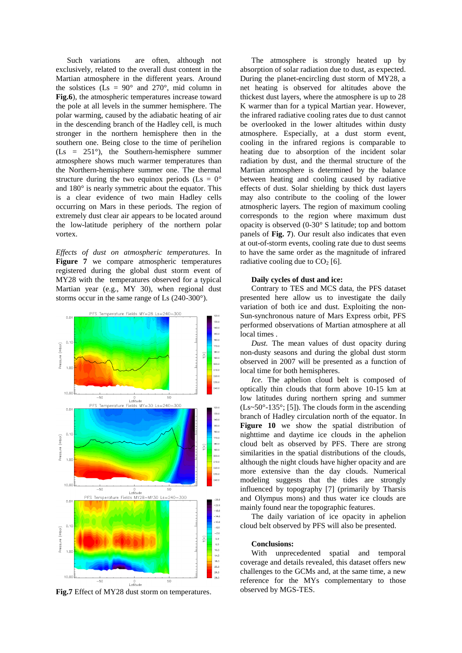Such variations are often, although not exclusively, related to the overall dust content in the Martian atmosphere in the different years. Around the solstices (Ls =  $90^{\circ}$  and  $270^{\circ}$ , mid column in **Fig.6**), the atmospheric temperatures increase toward the pole at all levels in the summer hemisphere. The polar warming, caused by the adiabatic heating of air in the descending branch of the Hadley cell, is much stronger in the northern hemisphere then in the southern one. Being close to the time of perihelion  $(Ls = 251^{\circ})$ , the Southern-hemisphere summer atmosphere shows much warmer temperatures than the Northern-hemisphere summer one. The thermal structure during the two equinox periods ( $\text{Ls} = 0^{\circ}$ ) and 180° is nearly symmetric about the equator. This is a clear evidence of two main Hadley cells occurring on Mars in these periods. The region of extremely dust clear air appears to be located around the low-latitude periphery of the northern polar vortex.

*Effects of dust on atmospheric temperatures.* In **Figure 7** we compare atmospheric temperatures registered during the global dust storm event of MY28 with the temperatures observed for a typical Martian year (e.g., MY 30), when regional dust storms occur in the same range of Ls (240-300°).



**Fig.7** Effect of MY28 dust storm on temperatures.

The atmosphere is strongly heated up by absorption of solar radiation due to dust, as expected. During the planet-encircling dust storm of MY28, a net heating is observed for altitudes above the thickest dust layers, where the atmosphere is up to 28 K warmer than for a typical Martian year. However, the infrared radiative cooling rates due to dust cannot be overlooked in the lower altitudes within dusty atmosphere. Especially, at a dust storm event, cooling in the infrared regions is comparable to heating due to absorption of the incident solar radiation by dust, and the thermal structure of the Martian atmosphere is determined by the balance between heating and cooling caused by radiative effects of dust. Solar shielding by thick dust layers may also contribute to the cooling of the lower atmospheric layers. The region of maximum cooling corresponds to the region where maximum dust opacity is observed (0-30° S latitude; top and bottom panels of **Fig. 7**). Our result also indicates that even at out-of-storm events, cooling rate due to dust seems to have the same order as the magnitude of infrared radiative cooling due to  $CO<sub>2</sub>$  [6].

#### **Daily cycles of dust and ice:**

Contrary to TES and MCS data, the PFS dataset presented here allow us to investigate the daily variation of both ice and dust. Exploiting the non-Sun-synchronous nature of Mars Express orbit, PFS performed observations of Martian atmosphere at all local times .

*Dust.* The mean values of dust opacity during non-dusty seasons and during the global dust storm observed in 2007 will be presented as a function of local time for both hemispheres.

*Ice.* The aphelion cloud belt is composed of optically thin clouds that form above 10-15 km at low latitudes during northern spring and summer  $(Ls~50^{\circ}~135^{\circ};$  [5]). The clouds form in the ascending branch of Hadley circulation north of the equator. In **Figure 10** we show the spatial distribution of nighttime and daytime ice clouds in the aphelion cloud belt as observed by PFS. There are strong similarities in the spatial distributions of the clouds, although the night clouds have higher opacity and are more extensive than the day clouds. Numerical modeling suggests that the tides are strongly influenced by topography [7] (primarily by Tharsis and Olympus mons) and thus water ice clouds are mainly found near the topographic features.

The daily variation of ice opacity in aphelion cloud belt observed by PFS will also be presented.

#### **Conclusions:**

With unprecedented spatial and temporal coverage and details revealed, this dataset offers new challenges to the GCMs and, at the same time, a new reference for the MYs complementary to those observed by MGS-TES.